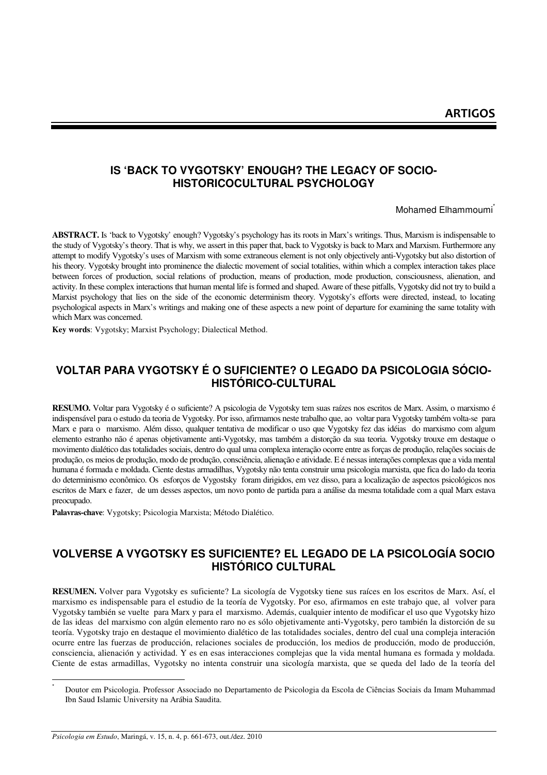# **IS 'BACK TO VYGOTSKY' ENOUGH? THE LEGACY OF SOCIO-HISTORICOCULTURAL PSYCHOLOGY**

Mohamed Elhammoumi<sup>\*</sup>

**ABSTRACT.** Is 'back to Vygotsky' enough? Vygotsky's psychology has its roots in Marx's writings. Thus, Marxism is indispensable to the study of Vygotsky's theory. That is why, we assert in this paper that, back to Vygotsky is back to Marx and Marxism. Furthermore any attempt to modify Vygotsky's uses of Marxism with some extraneous element is not only objectively anti-Vygotsky but also distortion of his theory. Vygotsky brought into prominence the dialectic movement of social totalities, within which a complex interaction takes place between forces of production, social relations of production, means of production, mode production, consciousness, alienation, and activity. In these complex interactions that human mental life is formed and shaped. Aware of these pitfalls, Vygotsky did not try to build a Marxist psychology that lies on the side of the economic determinism theory. Vygotsky's efforts were directed, instead, to locating psychological aspects in Marx's writings and making one of these aspects a new point of departure for examining the same totality with which Marx was concerned.

**Key words**: Vygotsky; Marxist Psychology; Dialectical Method.

# **VOLTAR PARA VYGOTSKY É O SUFICIENTE? O LEGADO DA PSICOLOGIA SÓCIO-HISTÓRICO-CULTURAL**

**RESUMO.** Voltar para Vygotsky é o suficiente? A psicologia de Vygotsky tem suas raízes nos escritos de Marx. Assim, o marxismo é indispensável para o estudo da teoria de Vygotsky. Por isso, afirmamos neste trabalho que, ao voltar para Vygotsky também volta-se para Marx e para o marxismo. Além disso, qualquer tentativa de modificar o uso que Vygotsky fez das idéias do marxismo com algum elemento estranho não é apenas objetivamente anti-Vygotsky, mas também a distorção da sua teoria. Vygotsky trouxe em destaque o movimento dialético das totalidades sociais, dentro do qual uma complexa interação ocorre entre as forças de produção, relações sociais de produção, os meios de produção, modo de produção, consciência, alienação e atividade. E é nessas interações complexas que a vida mental humana é formada e moldada. Ciente destas armadilhas, Vygotsky não tenta construir uma psicologia marxista, que fica do lado da teoria do determinismo econômico. Os esforços de Vygostsky foram dirigidos, em vez disso, para a localização de aspectos psicológicos nos escritos de Marx e fazer, de um desses aspectos, um novo ponto de partida para a análise da mesma totalidade com a qual Marx estava preocupado.

**Palavras-chave**: Vygotsky; Psicologia Marxista; Método Dialético.

# **VOLVERSE A VYGOTSKY ES SUFICIENTE? EL LEGADO DE LA PSICOLOGÍA SOCIO HISTÓRICO CULTURAL**

**RESUMEN.** Volver para Vygotsky es suficiente? La sicología de Vygotsky tiene sus raíces en los escritos de Marx. Así, el marxismo es indispensable para el estudio de la teoría de Vygotsky. Por eso, afirmamos en este trabajo que, al volver para Vygotsky también se vuelte para Marx y para el marxismo. Además, cualquier intento de modificar el uso que Vygotsky hizo de las ideas del marxismo con algún elemento raro no es sólo objetivamente anti-Vygotsky, pero también la distorción de su teoría. Vygotsky trajo en destaque el movimiento dialético de las totalidades sociales, dentro del cual una compleja interación ocurre entre las fuerzas de producción, relaciones sociales de producción, los medios de producción, modo de producción, consciencia, alienación y actividad. Y es en esas interacciones complejas que la vida mental humana es formada y moldada. Ciente de estas armadillas, Vygotsky no intenta construir una sicología marxista, que se queda del lado de la teoría del

 $\overline{a}$ 

<sup>\*</sup> Doutor em Psicologia. Professor Associado no Departamento de Psicologia da Escola de Ciências Sociais da Imam Muhammad Ibn Saud Islamic University na Arábia Saudita.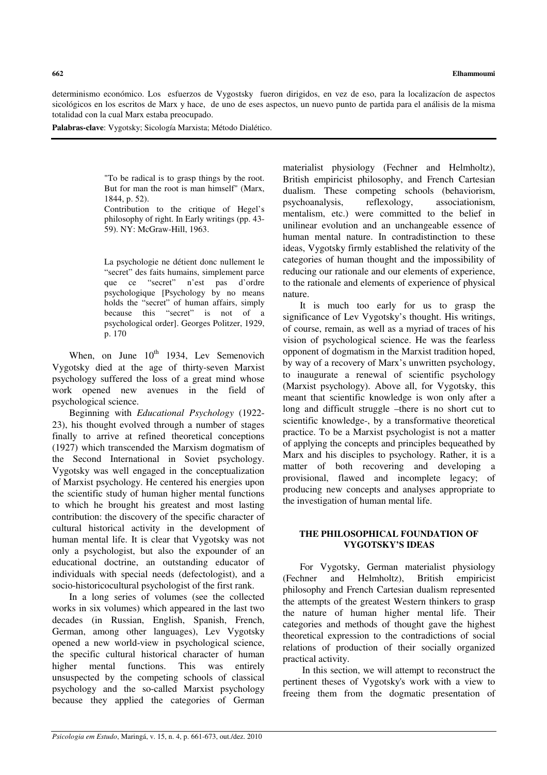German, among other languages), Lev Vygotsky opened a new world-view in psychological science, the specific cultural historical character of human higher mental functions. This was entirely unsuspected by the competing schools of classical psychology and the so-called Marxist psychology because they applied the categories of German

In a long series of volumes (see the collected works in six volumes) which appeared in the last two decades (in Russian, English, Spanish, French, materialist physiology (Fechner and Helmholtz), British empiricist philosophy, and French Cartesian dualism. These competing schools (behaviorism, psychoanalysis, reflexology, associationism, mentalism, etc.) were committed to the belief in unilinear evolution and an unchangeable essence of human mental nature. In contradistinction to these ideas, Vygotsky firmly established the relativity of the categories of human thought and the impossibility of reducing our rationale and our elements of experience, to the rationale and elements of experience of physical nature.

It is much too early for us to grasp the significance of Lev Vygotsky's thought. His writings, of course, remain, as well as a myriad of traces of his vision of psychological science. He was the fearless opponent of dogmatism in the Marxist tradition hoped, by way of a recovery of Marx's unwritten psychology, to inaugurate a renewal of scientific psychology (Marxist psychology). Above all, for Vygotsky, this meant that scientific knowledge is won only after a long and difficult struggle –there is no short cut to scientific knowledge-, by a transformative theoretical practice. To be a Marxist psychologist is not a matter of applying the concepts and principles bequeathed by Marx and his disciples to psychology. Rather, it is a matter of both recovering and developing a provisional, flawed and incomplete legacy; of producing new concepts and analyses appropriate to the investigation of human mental life.

### **THE PHILOSOPHICAL FOUNDATION OF VYGOTSKY'S IDEAS**

For Vygotsky, German materialist physiology (Fechner and Helmholtz), British empiricist philosophy and French Cartesian dualism represented the attempts of the greatest Western thinkers to grasp the nature of human higher mental life. Their categories and methods of thought gave the highest theoretical expression to the contradictions of social relations of production of their socially organized practical activity.

 In this section, we will attempt to reconstruct the pertinent theses of Vygotsky's work with a view to freeing them from the dogmatic presentation of

determinismo económico. Los esfuerzos de Vygostsky fueron dirigidos, en vez de eso, para la localizacíon de aspectos sicológicos en los escritos de Marx y hace, de uno de eses aspectos, un nuevo punto de partida para el análisis de la misma totalidad con la cual Marx estaba preocupado.

**Palabras-clave**: Vygotsky; Sicología Marxista; Método Dialético.

"To be radical is to grasp things by the root. But for man the root is man himself" (Marx, 1844, p. 52).

Contribution to the critique of Hegel's philosophy of right. In Early writings (pp. 43- 59). NY: McGraw-Hill, 1963.

La psychologie ne détient donc nullement le "secret" des faits humains, simplement parce que ce "secret" n'est pas d'ordre psychologique [Psychology by no means holds the "secret" of human affairs, simply because this "secret" is not of a psychological order]. Georges Politzer, 1929, p. 170

When, on June  $10^{th}$  1934, Lev Semenovich Vygotsky died at the age of thirty-seven Marxist psychology suffered the loss of a great mind whose work opened new avenues in the field of psychological science.

Beginning with *Educational Psychology* (1922- 23), his thought evolved through a number of stages finally to arrive at refined theoretical conceptions (1927) which transcended the Marxism dogmatism of the Second International in Soviet psychology. Vygotsky was well engaged in the conceptualization of Marxist psychology. He centered his energies upon the scientific study of human higher mental functions to which he brought his greatest and most lasting contribution: the discovery of the specific character of cultural historical activity in the development of human mental life. It is clear that Vygotsky was not only a psychologist, but also the expounder of an educational doctrine, an outstanding educator of individuals with special needs (defectologist), and a socio-historicocultural psychologist of the first rank.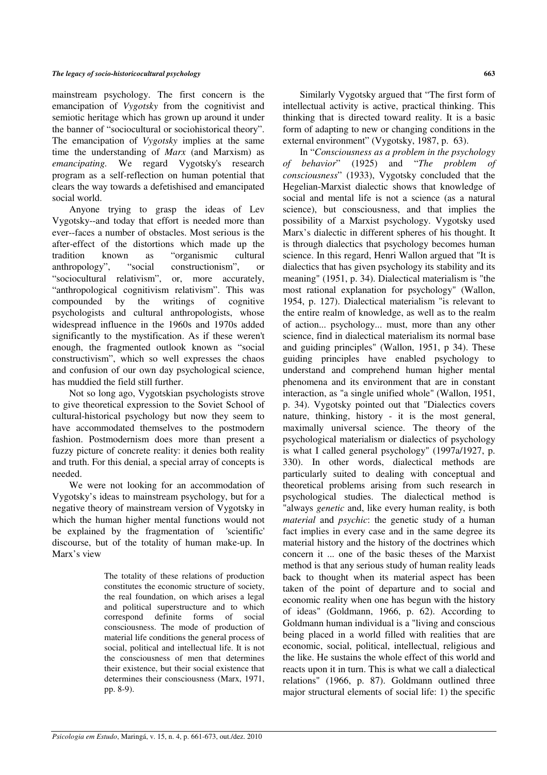mainstream psychology. The first concern is the emancipation of *Vygotsky* from the cognitivist and semiotic heritage which has grown up around it under the banner of "sociocultural or sociohistorical theory". The emancipation of *Vygotsky* implies at the same time the understanding of *Marx* (and Marxism) as *emancipating.* We regard Vygotsky's research program as a self-reflection on human potential that clears the way towards a defetishised and emancipated social world.

Anyone trying to grasp the ideas of Lev Vygotsky--and today that effort is needed more than ever--faces a number of obstacles. Most serious is the after-effect of the distortions which made up the tradition known as "organismic cultural<br>anthropology". "social constructionism", or anthropology", "social constructionism", or "sociocultural relativism", or, more accurately, "anthropological cognitivism relativism". This was compounded by the writings of cognitive psychologists and cultural anthropologists, whose widespread influence in the 1960s and 1970s added significantly to the mystification. As if these weren't enough, the fragmented outlook known as "social constructivism", which so well expresses the chaos and confusion of our own day psychological science, has muddied the field still further.

Not so long ago, Vygotskian psychologists strove to give theoretical expression to the Soviet School of cultural-historical psychology but now they seem to have accommodated themselves to the postmodern fashion. Postmodernism does more than present a fuzzy picture of concrete reality: it denies both reality and truth. For this denial, a special array of concepts is needed.

We were not looking for an accommodation of Vygotsky's ideas to mainstream psychology, but for a negative theory of mainstream version of Vygotsky in which the human higher mental functions would not be explained by the fragmentation of 'scientific' discourse, but of the totality of human make-up. In Marx's view

> The totality of these relations of production constitutes the economic structure of society, the real foundation, on which arises a legal and political superstructure and to which correspond definite forms of social consciousness. The mode of production of material life conditions the general process of social, political and intellectual life. It is not the consciousness of men that determines their existence, but their social existence that determines their consciousness (Marx, 1971, pp. 8-9).

Similarly Vygotsky argued that "The first form of intellectual activity is active, practical thinking. This thinking that is directed toward reality. It is a basic form of adapting to new or changing conditions in the

external environment" (Vygotsky, 1987, p. 63). In "*Consciousness as a problem in the psychology of behavior*" (1925) and "*The problem of consciousness*" (1933), Vygotsky concluded that the Hegelian-Marxist dialectic shows that knowledge of social and mental life is not a science (as a natural science), but consciousness, and that implies the possibility of a Marxist psychology. Vygotsky used Marx's dialectic in different spheres of his thought. It is through dialectics that psychology becomes human science. In this regard, Henri Wallon argued that "It is dialectics that has given psychology its stability and its meaning" (1951, p. 34). Dialectical materialism is "the most rational explanation for psychology" (Wallon, 1954, p. 127). Dialectical materialism "is relevant to the entire realm of knowledge, as well as to the realm of action... psychology... must, more than any other science, find in dialectical materialism its normal base and guiding principles" (Wallon, 1951, p 34). These guiding principles have enabled psychology to understand and comprehend human higher mental phenomena and its environment that are in constant interaction, as "a single unified whole" (Wallon, 1951, p. 34). Vygotsky pointed out that "Dialectics covers nature, thinking, history - it is the most general, maximally universal science. The theory of the psychological materialism or dialectics of psychology is what I called general psychology" (1997a/1927, p. 330). In other words, dialectical methods are particularly suited to dealing with conceptual and theoretical problems arising from such research in psychological studies. The dialectical method is "always *genetic* and, like every human reality, is both *material* and *psychic*: the genetic study of a human fact implies in every case and in the same degree its material history and the history of the doctrines which concern it ... one of the basic theses of the Marxist method is that any serious study of human reality leads back to thought when its material aspect has been taken of the point of departure and to social and economic reality when one has begun with the history of ideas" (Goldmann, 1966, p. 62). According to Goldmann human individual is a "living and conscious being placed in a world filled with realities that are economic, social, political, intellectual, religious and the like. He sustains the whole effect of this world and reacts upon it in turn. This is what we call a dialectical relations" (1966, p. 87). Goldmann outlined three major structural elements of social life: 1) the specific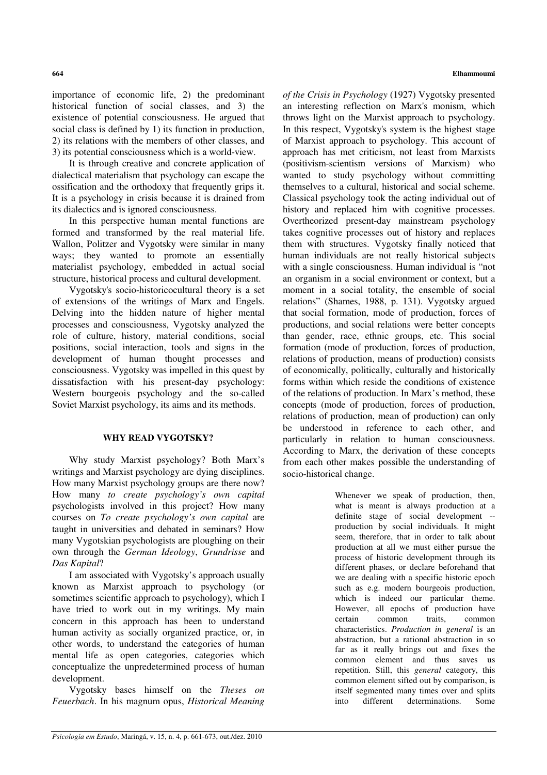importance of economic life, 2) the predominant historical function of social classes, and 3) the existence of potential consciousness. He argued that social class is defined by 1) its function in production, 2) its relations with the members of other classes, and 3) its potential consciousness which is a world-view.

It is through creative and concrete application of dialectical materialism that psychology can escape the ossification and the orthodoxy that frequently grips it. It is a psychology in crisis because it is drained from its dialectics and is ignored consciousness.

In this perspective human mental functions are formed and transformed by the real material life. Wallon, Politzer and Vygotsky were similar in many ways; they wanted to promote an essentially materialist psychology, embedded in actual social structure, historical process and cultural development.

Vygotsky's socio-historicocultural theory is a set of extensions of the writings of Marx and Engels. Delving into the hidden nature of higher mental processes and consciousness, Vygotsky analyzed the role of culture, history, material conditions, social positions, social interaction, tools and signs in the development of human thought processes and consciousness. Vygotsky was impelled in this quest by dissatisfaction with his present-day psychology: Western bourgeois psychology and the so-called Soviet Marxist psychology, its aims and its methods.

# **WHY READ VYGOTSKY?**

Why study Marxist psychology? Both Marx's writings and Marxist psychology are dying disciplines. How many Marxist psychology groups are there now? How many *to create psychology's own capital* psychologists involved in this project? How many courses on *To create psychology's own capital* are taught in universities and debated in seminars? How many Vygotskian psychologists are ploughing on their own through the *German Ideology*, *Grundrisse* and *Das Kapital*?

I am associated with Vygotsky's approach usually known as Marxist approach to psychology (or sometimes scientific approach to psychology), which I have tried to work out in my writings. My main concern in this approach has been to understand human activity as socially organized practice, or, in other words, to understand the categories of human mental life as open categories, categories which conceptualize the unpredetermined process of human development.

Vygotsky bases himself on the *Theses on Feuerbach*. In his magnum opus, *Historical Meaning* 

*of the Crisis in Psychology* (1927) Vygotsky presented an interesting reflection on Marx's monism, which throws light on the Marxist approach to psychology. In this respect, Vygotsky's system is the highest stage of Marxist approach to psychology. This account of approach has met criticism, not least from Marxists (positivism-scientism versions of Marxism) who wanted to study psychology without committing themselves to a cultural, historical and social scheme. Classical psychology took the acting individual out of history and replaced him with cognitive processes. Overtheorized present-day mainstream psychology takes cognitive processes out of history and replaces them with structures. Vygotsky finally noticed that human individuals are not really historical subjects with a single consciousness. Human individual is "not an organism in a social environment or context, but a moment in a social totality, the ensemble of social relations" (Shames, 1988, p. 131). Vygotsky argued that social formation, mode of production, forces of productions, and social relations were better concepts than gender, race, ethnic groups, etc. This social formation (mode of production, forces of production, relations of production, means of production) consists of economically, politically, culturally and historically forms within which reside the conditions of existence of the relations of production. In Marx's method, these concepts (mode of production, forces of production, relations of production, mean of production) can only be understood in reference to each other, and particularly in relation to human consciousness. According to Marx, the derivation of these concepts from each other makes possible the understanding of socio-historical change.

> Whenever we speak of production, then, what is meant is always production at a definite stage of social development - production by social individuals. It might seem, therefore, that in order to talk about production at all we must either pursue the process of historic development through its different phases, or declare beforehand that we are dealing with a specific historic epoch such as e.g. modern bourgeois production, which is indeed our particular theme. However, all epochs of production have certain common traits, common characteristics. *Production in general* is an abstraction, but a rational abstraction in so far as it really brings out and fixes the common element and thus saves us repetition. Still, this *general* category, this common element sifted out by comparison, is itself segmented many times over and splits<br>into different determinations. Some into different determinations.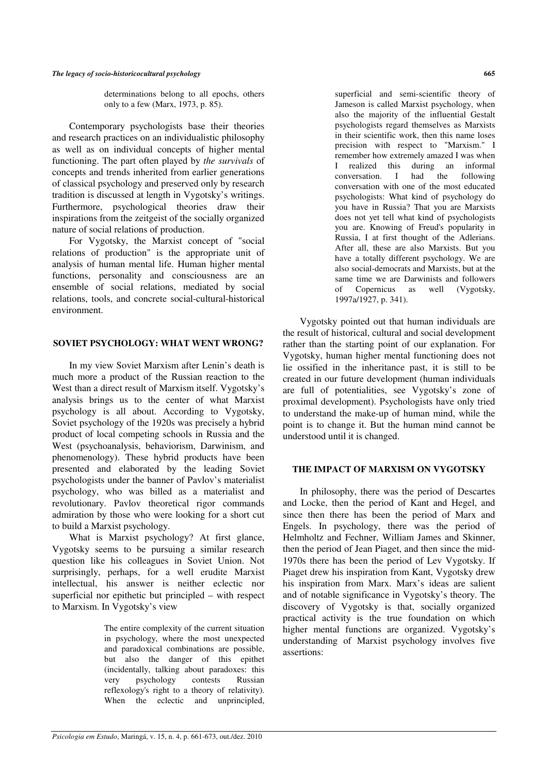#### *The legacy of socio-historicocultural psychology* **665**

determinations belong to all epochs, others only to a few (Marx, 1973, p. 85).

Contemporary psychologists base their theories and research practices on an individualistic philosophy as well as on individual concepts of higher mental functioning. The part often played by *the survivals* of concepts and trends inherited from earlier generations of classical psychology and preserved only by research tradition is discussed at length in Vygotsky's writings. Furthermore, psychological theories draw their inspirations from the zeitgeist of the socially organized nature of social relations of production.

For Vygotsky, the Marxist concept of "social relations of production" is the appropriate unit of analysis of human mental life. Human higher mental functions, personality and consciousness are an ensemble of social relations, mediated by social relations, tools, and concrete social-cultural-historical environment.

#### **SOVIET PSYCHOLOGY: WHAT WENT WRONG?**

In my view Soviet Marxism after Lenin's death is much more a product of the Russian reaction to the West than a direct result of Marxism itself. Vygotsky's analysis brings us to the center of what Marxist psychology is all about. According to Vygotsky, Soviet psychology of the 1920s was precisely a hybrid product of local competing schools in Russia and the West (psychoanalysis, behaviorism, Darwinism, and phenomenology). These hybrid products have been presented and elaborated by the leading Soviet psychologists under the banner of Pavlov's materialist psychology, who was billed as a materialist and revolutionary. Pavlov theoretical rigor commands admiration by those who were looking for a short cut to build a Marxist psychology.

What is Marxist psychology? At first glance, Vygotsky seems to be pursuing a similar research question like his colleagues in Soviet Union. Not surprisingly, perhaps, for a well erudite Marxist intellectual, his answer is neither eclectic nor superficial nor epithetic but principled – with respect to Marxism. In Vygotsky's view

> The entire complexity of the current situation in psychology, where the most unexpected and paradoxical combinations are possible, but also the danger of this epithet (incidentally, talking about paradoxes: this<br>very psychology contests Russian very psychology contests Russian reflexology's right to a theory of relativity). When the eclectic and unprincipled,

superficial and semi-scientific theory of Jameson is called Marxist psychology, when also the majority of the influential Gestalt psychologists regard themselves as Marxists in their scientific work, then this name loses precision with respect to "Marxism." I remember how extremely amazed I was when I realized this during an informal<br>conversation. I had the following conversation. I had the following conversation with one of the most educated psychologists: What kind of psychology do you have in Russia? That you are Marxists does not yet tell what kind of psychologists you are. Knowing of Freud's popularity in Russia, I at first thought of the Adlerians. After all, these are also Marxists. But you have a totally different psychology. We are also social-democrats and Marxists, but at the same time we are Darwinists and followers of Copernicus as well (Vygotsky, 1997a/1927, p. 341).

Vygotsky pointed out that human individuals are the result of historical, cultural and social development rather than the starting point of our explanation. For Vygotsky, human higher mental functioning does not lie ossified in the inheritance past, it is still to be created in our future development (human individuals are full of potentialities, see Vygotsky's zone of proximal development). Psychologists have only tried to understand the make-up of human mind, while the point is to change it. But the human mind cannot be understood until it is changed.

#### **THE IMPACT OF MARXISM ON VYGOTSKY**

In philosophy, there was the period of Descartes and Locke, then the period of Kant and Hegel, and since then there has been the period of Marx and Engels. In psychology, there was the period of Helmholtz and Fechner, William James and Skinner, then the period of Jean Piaget, and then since the mid-1970s there has been the period of Lev Vygotsky. If Piaget drew his inspiration from Kant, Vygotsky drew his inspiration from Marx. Marx's ideas are salient and of notable significance in Vygotsky's theory. The discovery of Vygotsky is that, socially organized practical activity is the true foundation on which higher mental functions are organized. Vygotsky's understanding of Marxist psychology involves five assertions: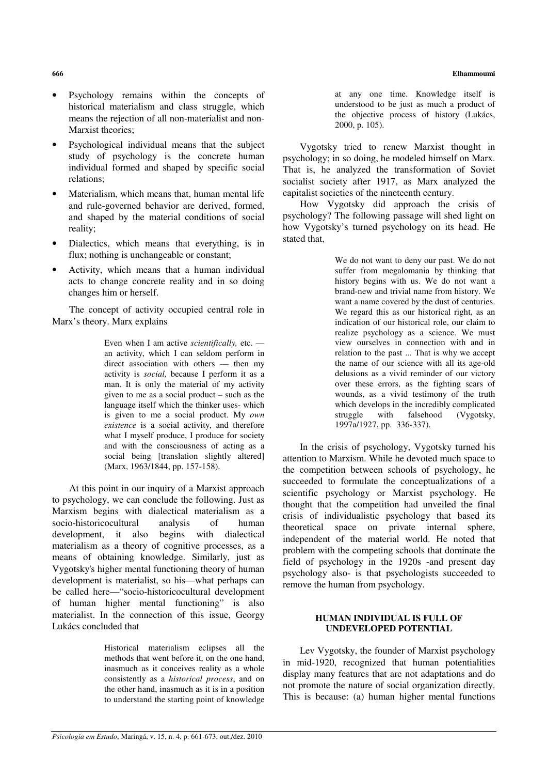#### **666 Elhammoumi**

- Psychology remains within the concepts of historical materialism and class struggle, which means the rejection of all non-materialist and non-Marxist theories;
- Psychological individual means that the subject study of psychology is the concrete human individual formed and shaped by specific social relations;
- Materialism, which means that, human mental life and rule-governed behavior are derived, formed, and shaped by the material conditions of social reality;
- Dialectics, which means that everything, is in flux; nothing is unchangeable or constant;
- Activity, which means that a human individual acts to change concrete reality and in so doing changes him or herself.

The concept of activity occupied central role in Marx's theory. Marx explains

> Even when I am active *scientifically,* etc. an activity, which I can seldom perform in direct association with others — then my activity is *social,* because I perform it as a man. It is only the material of my activity given to me as a social product – such as the language itself which the thinker uses- which is given to me a social product. My *own existence* is a social activity, and therefore what I myself produce, I produce for society and with the consciousness of acting as a social being [translation slightly altered] (Marx, 1963/1844, pp. 157-158).

At this point in our inquiry of a Marxist approach to psychology, we can conclude the following. Just as Marxism begins with dialectical materialism as a socio-historicocultural analysis of human development, it also begins with dialectical materialism as a theory of cognitive processes, as a means of obtaining knowledge. Similarly, just as Vygotsky's higher mental functioning theory of human development is materialist, so his—what perhaps can be called here—"socio-historicocultural development of human higher mental functioning" is also materialist. In the connection of this issue, Georgy Lukács concluded that

> Historical materialism eclipses all the methods that went before it, on the one hand, inasmuch as it conceives reality as a whole consistently as a *historical process*, and on the other hand, inasmuch as it is in a position to understand the starting point of knowledge

at any one time. Knowledge itself is understood to be just as much a product of the objective process of history (Lukács, 2000, p. 105).

Vygotsky tried to renew Marxist thought in psychology; in so doing, he modeled himself on Marx. That is, he analyzed the transformation of Soviet socialist society after 1917, as Marx analyzed the capitalist societies of the nineteenth century.

How Vygotsky did approach the crisis of psychology? The following passage will shed light on how Vygotsky's turned psychology on its head. He stated that,

> We do not want to deny our past. We do not suffer from megalomania by thinking that history begins with us. We do not want a brand-new and trivial name from history. We want a name covered by the dust of centuries. We regard this as our historical right, as an indication of our historical role, our claim to realize psychology as a science. We must view ourselves in connection with and in relation to the past ... That is why we accept the name of our science with all its age-old delusions as a vivid reminder of our victory over these errors, as the fighting scars of wounds, as a vivid testimony of the truth which develops in the incredibly complicated<br>struggle with falsehood (Vygotsky, struggle with falsehood (Vygotsky, 1997a/1927, pp. 336-337).

In the crisis of psychology, Vygotsky turned his attention to Marxism. While he devoted much space to the competition between schools of psychology, he succeeded to formulate the conceptualizations of a scientific psychology or Marxist psychology. He thought that the competition had unveiled the final crisis of individualistic psychology that based its theoretical space on private internal sphere, independent of the material world. He noted that problem with the competing schools that dominate the field of psychology in the 1920s -and present day psychology also- is that psychologists succeeded to remove the human from psychology.

### **HUMAN INDIVIDUAL IS FULL OF UNDEVELOPED POTENTIAL**

Lev Vygotsky, the founder of Marxist psychology in mid-1920, recognized that human potentialities display many features that are not adaptations and do not promote the nature of social organization directly. This is because: (a) human higher mental functions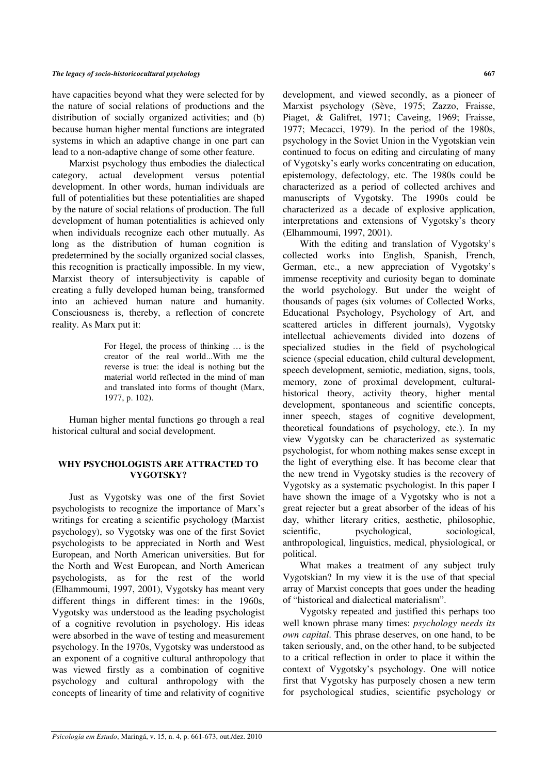have capacities beyond what they were selected for by the nature of social relations of productions and the distribution of socially organized activities; and (b) because human higher mental functions are integrated systems in which an adaptive change in one part can lead to a non-adaptive change of some other feature.

Marxist psychology thus embodies the dialectical category, actual development versus potential development. In other words, human individuals are full of potentialities but these potentialities are shaped by the nature of social relations of production. The full development of human potentialities is achieved only when individuals recognize each other mutually. As long as the distribution of human cognition is predetermined by the socially organized social classes, this recognition is practically impossible. In my view, Marxist theory of intersubjectivity is capable of creating a fully developed human being, transformed into an achieved human nature and humanity. Consciousness is, thereby, a reflection of concrete reality. As Marx put it:

> For Hegel, the process of thinking … is the creator of the real world...With me the reverse is true: the ideal is nothing but the material world reflected in the mind of man and translated into forms of thought (Marx, 1977, p. 102).

Human higher mental functions go through a real historical cultural and social development.

# **WHY PSYCHOLOGISTS ARE ATTRACTED TO VYGOTSKY?**

Just as Vygotsky was one of the first Soviet psychologists to recognize the importance of Marx's writings for creating a scientific psychology (Marxist psychology), so Vygotsky was one of the first Soviet psychologists to be appreciated in North and West European, and North American universities. But for the North and West European, and North American psychologists, as for the rest of the world (Elhammoumi, 1997, 2001), Vygotsky has meant very different things in different times: in the 1960s, Vygotsky was understood as the leading psychologist of a cognitive revolution in psychology. His ideas were absorbed in the wave of testing and measurement psychology. In the 1970s, Vygotsky was understood as an exponent of a cognitive cultural anthropology that was viewed firstly as a combination of cognitive psychology and cultural anthropology with the concepts of linearity of time and relativity of cognitive development, and viewed secondly, as a pioneer of Marxist psychology (Sève, 1975; Zazzo, Fraisse, Piaget, & Galifret, 1971; Caveing, 1969; Fraisse, 1977; Mecacci, 1979). In the period of the 1980s, psychology in the Soviet Union in the Vygotskian vein continued to focus on editing and circulating of many of Vygotsky's early works concentrating on education, epistemology, defectology, etc. The 1980s could be characterized as a period of collected archives and manuscripts of Vygotsky. The 1990s could be characterized as a decade of explosive application, interpretations and extensions of Vygotsky's theory (Elhammoumi, 1997, 2001).

With the editing and translation of Vygotsky's collected works into English, Spanish, French, German, etc., a new appreciation of Vygotsky's immense receptivity and curiosity began to dominate the world psychology. But under the weight of thousands of pages (six volumes of Collected Works, Educational Psychology, Psychology of Art, and scattered articles in different journals), Vygotsky intellectual achievements divided into dozens of specialized studies in the field of psychological science (special education, child cultural development, speech development, semiotic, mediation, signs, tools, memory, zone of proximal development, culturalhistorical theory, activity theory, higher mental development, spontaneous and scientific concepts, inner speech, stages of cognitive development, theoretical foundations of psychology, etc.). In my view Vygotsky can be characterized as systematic psychologist, for whom nothing makes sense except in the light of everything else. It has become clear that the new trend in Vygotsky studies is the recovery of Vygotsky as a systematic psychologist. In this paper I have shown the image of a Vygotsky who is not a great rejecter but a great absorber of the ideas of his day, whither literary critics, aesthetic, philosophic, scientific, psychological, sociological, anthropological, linguistics, medical, physiological, or political.

What makes a treatment of any subject truly Vygotskian? In my view it is the use of that special array of Marxist concepts that goes under the heading of "historical and dialectical materialism".

Vygotsky repeated and justified this perhaps too well known phrase many times: *psychology needs its own capital*. This phrase deserves, on one hand, to be taken seriously, and, on the other hand, to be subjected to a critical reflection in order to place it within the context of Vygotsky's psychology. One will notice first that Vygotsky has purposely chosen a new term for psychological studies, scientific psychology or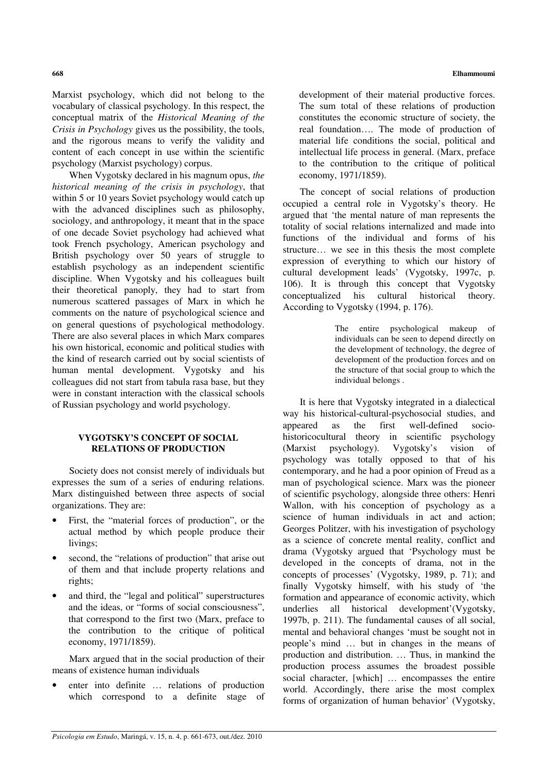Marxist psychology, which did not belong to the vocabulary of classical psychology. In this respect, the conceptual matrix of the *Historical Meaning of the Crisis in Psychology* gives us the possibility, the tools, and the rigorous means to verify the validity and content of each concept in use within the scientific psychology (Marxist psychology) corpus.

When Vygotsky declared in his magnum opus, *the historical meaning of the crisis in psychology*, that within 5 or 10 years Soviet psychology would catch up with the advanced disciplines such as philosophy, sociology, and anthropology, it meant that in the space of one decade Soviet psychology had achieved what took French psychology, American psychology and British psychology over 50 years of struggle to establish psychology as an independent scientific discipline. When Vygotsky and his colleagues built their theoretical panoply, they had to start from numerous scattered passages of Marx in which he comments on the nature of psychological science and on general questions of psychological methodology. There are also several places in which Marx compares his own historical, economic and political studies with the kind of research carried out by social scientists of human mental development. Vygotsky and his colleagues did not start from tabula rasa base, but they were in constant interaction with the classical schools of Russian psychology and world psychology.

# **VYGOTSKY'S CONCEPT OF SOCIAL RELATIONS OF PRODUCTION**

Society does not consist merely of individuals but expresses the sum of a series of enduring relations. Marx distinguished between three aspects of social organizations. They are:

- First, the "material forces of production", or the actual method by which people produce their livings;
- second, the "relations of production" that arise out of them and that include property relations and rights;
- and third, the "legal and political" superstructures and the ideas, or "forms of social consciousness", that correspond to the first two (Marx, preface to the contribution to the critique of political economy, 1971/1859).

Marx argued that in the social production of their means of existence human individuals

enter into definite ... relations of production which correspond to a definite stage of

**668 Elhammoumi** 

development of their material productive forces. The sum total of these relations of production constitutes the economic structure of society, the real foundation…. The mode of production of material life conditions the social, political and intellectual life process in general. (Marx, preface to the contribution to the critique of political economy, 1971/1859).

The concept of social relations of production occupied a central role in Vygotsky's theory. He argued that 'the mental nature of man represents the totality of social relations internalized and made into functions of the individual and forms of his structure… we see in this thesis the most complete expression of everything to which our history of cultural development leads' (Vygotsky, 1997c, p. 106). It is through this concept that Vygotsky conceptualized his cultural historical theory. According to Vygotsky (1994, p. 176).

> The entire psychological makeup of individuals can be seen to depend directly on the development of technology, the degree of development of the production forces and on the structure of that social group to which the individual belongs .

It is here that Vygotsky integrated in a dialectical way his historical-cultural-psychosocial studies, and appeared as the first well-defined sociohistoricocultural theory in scientific psychology (Marxist psychology). Vygotsky's vision of psychology was totally opposed to that of his contemporary, and he had a poor opinion of Freud as a man of psychological science. Marx was the pioneer of scientific psychology, alongside three others: Henri Wallon, with his conception of psychology as a science of human individuals in act and action; Georges Politzer, with his investigation of psychology as a science of concrete mental reality, conflict and drama (Vygotsky argued that 'Psychology must be developed in the concepts of drama, not in the concepts of processes' (Vygotsky, 1989, p. 71); and finally Vygotsky himself, with his study of 'the formation and appearance of economic activity, which underlies all historical development'(Vygotsky, 1997b, p. 211). The fundamental causes of all social, mental and behavioral changes 'must be sought not in people's mind … but in changes in the means of production and distribution. … Thus, in mankind the production process assumes the broadest possible social character, [which] … encompasses the entire world. Accordingly, there arise the most complex forms of organization of human behavior' (Vygotsky,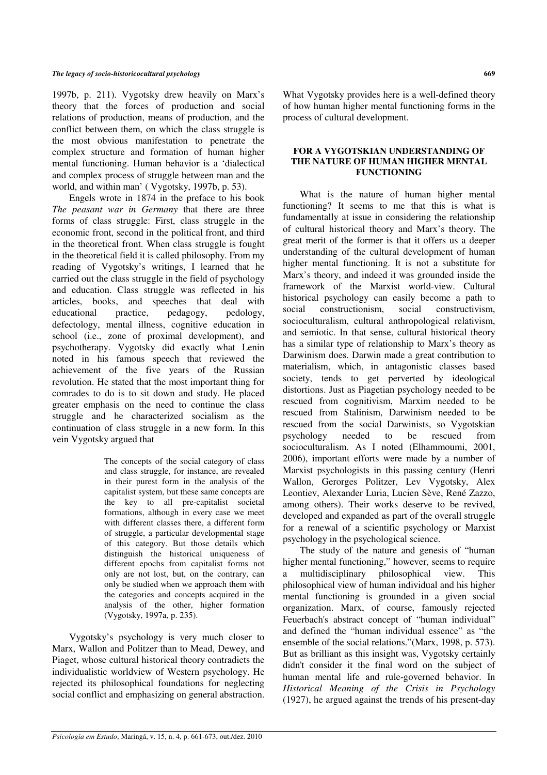1997b, p. 211). Vygotsky drew heavily on Marx's theory that the forces of production and social relations of production, means of production, and the conflict between them, on which the class struggle is the most obvious manifestation to penetrate the complex structure and formation of human higher mental functioning. Human behavior is a 'dialectical and complex process of struggle between man and the world, and within man' ( Vygotsky, 1997b, p. 53).

Engels wrote in 1874 in the preface to his book *The peasant war in Germany* that there are three forms of class struggle: First, class struggle in the economic front, second in the political front, and third in the theoretical front. When class struggle is fought in the theoretical field it is called philosophy. From my reading of Vygotsky's writings, I learned that he carried out the class struggle in the field of psychology and education. Class struggle was reflected in his articles, books, and speeches that deal with educational practice, pedagogy, pedology, defectology, mental illness, cognitive education in school (i.e., zone of proximal development), and psychotherapy. Vygotsky did exactly what Lenin noted in his famous speech that reviewed the achievement of the five years of the Russian revolution. He stated that the most important thing for comrades to do is to sit down and study. He placed greater emphasis on the need to continue the class struggle and he characterized socialism as the continuation of class struggle in a new form. In this vein Vygotsky argued that

> The concepts of the social category of class and class struggle, for instance, are revealed in their purest form in the analysis of the capitalist system, but these same concepts are the key to all pre-capitalist societal formations, although in every case we meet with different classes there, a different form of struggle, a particular developmental stage of this category. But those details which distinguish the historical uniqueness of different epochs from capitalist forms not only are not lost, but, on the contrary, can only be studied when we approach them with the categories and concepts acquired in the analysis of the other, higher formation (Vygotsky, 1997a, p. 235).

Vygotsky's psychology is very much closer to Marx, Wallon and Politzer than to Mead, Dewey, and Piaget, whose cultural historical theory contradicts the individualistic worldview of Western psychology. He rejected its philosophical foundations for neglecting social conflict and emphasizing on general abstraction.

What Vygotsky provides here is a well-defined theory of how human higher mental functioning forms in the process of cultural development.

#### **FOR A VYGOTSKIAN UNDERSTANDING OF THE NATURE OF HUMAN HIGHER MENTAL FUNCTIONING**

What is the nature of human higher mental functioning? It seems to me that this is what is fundamentally at issue in considering the relationship of cultural historical theory and Marx's theory. The great merit of the former is that it offers us a deeper understanding of the cultural development of human higher mental functioning. It is not a substitute for Marx's theory, and indeed it was grounded inside the framework of the Marxist world-view. Cultural historical psychology can easily become a path to social constructionism, social constructivism, socioculturalism, cultural anthropological relativism, and semiotic. In that sense, cultural historical theory has a similar type of relationship to Marx's theory as Darwinism does. Darwin made a great contribution to materialism, which, in antagonistic classes based society, tends to get perverted by ideological distortions. Just as Piagetian psychology needed to be rescued from cognitivism, Marxim needed to be rescued from Stalinism, Darwinism needed to be rescued from the social Darwinists, so Vygotskian psychology needed to be rescued from socioculturalism. As I noted (Elhammoumi, 2001, 2006), important efforts were made by a number of Marxist psychologists in this passing century (Henri Wallon, Gerorges Politzer, Lev Vygotsky, Alex Leontiev, Alexander Luria, Lucien Sève, René Zazzo, among others). Their works deserve to be revived, developed and expanded as part of the overall struggle for a renewal of a scientific psychology or Marxist psychology in the psychological science.

The study of the nature and genesis of "human higher mental functioning," however, seems to require a multidisciplinary philosophical view. This philosophical view of human individual and his higher mental functioning is grounded in a given social organization. Marx, of course, famously rejected Feuerbach's abstract concept of "human individual" and defined the "human individual essence" as "the ensemble of the social relations."(Marx, 1998, p. 573). But as brilliant as this insight was, Vygotsky certainly didn't consider it the final word on the subject of human mental life and rule-governed behavior. In *Historical Meaning of the Crisis in Psychology*  (1927), he argued against the trends of his present-day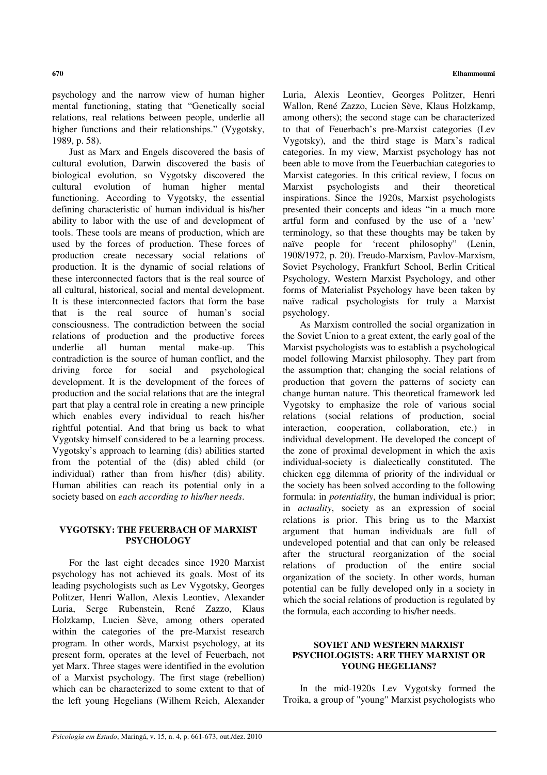psychology and the narrow view of human higher mental functioning, stating that "Genetically social relations, real relations between people, underlie all higher functions and their relationships." (Vygotsky, 1989, p. 58).

Just as Marx and Engels discovered the basis of cultural evolution, Darwin discovered the basis of biological evolution, so Vygotsky discovered the cultural evolution of human higher mental functioning. According to Vygotsky, the essential defining characteristic of human individual is his/her ability to labor with the use of and development of tools. These tools are means of production, which are used by the forces of production. These forces of production create necessary social relations of production. It is the dynamic of social relations of these interconnected factors that is the real source of all cultural, historical, social and mental development. It is these interconnected factors that form the base that is the real source of human's social consciousness. The contradiction between the social relations of production and the productive forces underlie all human mental make-up. This contradiction is the source of human conflict, and the driving force for social and psychological driving force for social and development. It is the development of the forces of production and the social relations that are the integral part that play a central role in creating a new principle which enables every individual to reach his/her rightful potential. And that bring us back to what Vygotsky himself considered to be a learning process. Vygotsky's approach to learning (dis) abilities started from the potential of the (dis) abled child (or individual) rather than from his/her (dis) ability. Human abilities can reach its potential only in a society based on *each according to his/her needs*.

# **VYGOTSKY: THE FEUERBACH OF MARXIST PSYCHOLOGY**

For the last eight decades since 1920 Marxist psychology has not achieved its goals. Most of its leading psychologists such as Lev Vygotsky, Georges Politzer, Henri Wallon, Alexis Leontiev, Alexander Luria, Serge Rubenstein, René Zazzo, Klaus Holzkamp, Lucien Sève, among others operated within the categories of the pre-Marxist research program. In other words, Marxist psychology, at its present form, operates at the level of Feuerbach, not yet Marx. Three stages were identified in the evolution of a Marxist psychology. The first stage (rebellion) which can be characterized to some extent to that of the left young Hegelians (Wilhem Reich, Alexander

**670 Elhammoumi** 

Luria, Alexis Leontiev, Georges Politzer, Henri Wallon, René Zazzo, Lucien Sève, Klaus Holzkamp, among others); the second stage can be characterized to that of Feuerbach's pre-Marxist categories (Lev Vygotsky), and the third stage is Marx's radical categories. In my view, Marxist psychology has not been able to move from the Feuerbachian categories to Marxist categories. In this critical review, I focus on Marxist psychologists and their theoretical inspirations. Since the 1920s, Marxist psychologists presented their concepts and ideas "in a much more artful form and confused by the use of a 'new' terminology, so that these thoughts may be taken by naïve people for 'recent philosophy" (Lenin, 1908/1972, p. 20). Freudo-Marxism, Pavlov-Marxism, Soviet Psychology, Frankfurt School, Berlin Critical Psychology, Western Marxist Psychology, and other forms of Materialist Psychology have been taken by naïve radical psychologists for truly a Marxist psychology.

As Marxism controlled the social organization in the Soviet Union to a great extent, the early goal of the Marxist psychologists was to establish a psychological model following Marxist philosophy. They part from the assumption that; changing the social relations of production that govern the patterns of society can change human nature. This theoretical framework led Vygotsky to emphasize the role of various social relations (social relations of production, social interaction, cooperation, collaboration, etc.) in individual development. He developed the concept of the zone of proximal development in which the axis individual-society is dialectically constituted. The chicken egg dilemma of priority of the individual or the society has been solved according to the following formula: in *potentiality*, the human individual is prior; in *actuality*, society as an expression of social relations is prior. This bring us to the Marxist argument that human individuals are full of undeveloped potential and that can only be released after the structural reorganization of the social relations of production of the entire social organization of the society. In other words, human potential can be fully developed only in a society in which the social relations of production is regulated by the formula, each according to his/her needs.

### **SOVIET AND WESTERN MARXIST PSYCHOLOGISTS: ARE THEY MARXIST OR YOUNG HEGELIANS?**

In the mid-1920s Lev Vygotsky formed the Troika, a group of "young" Marxist psychologists who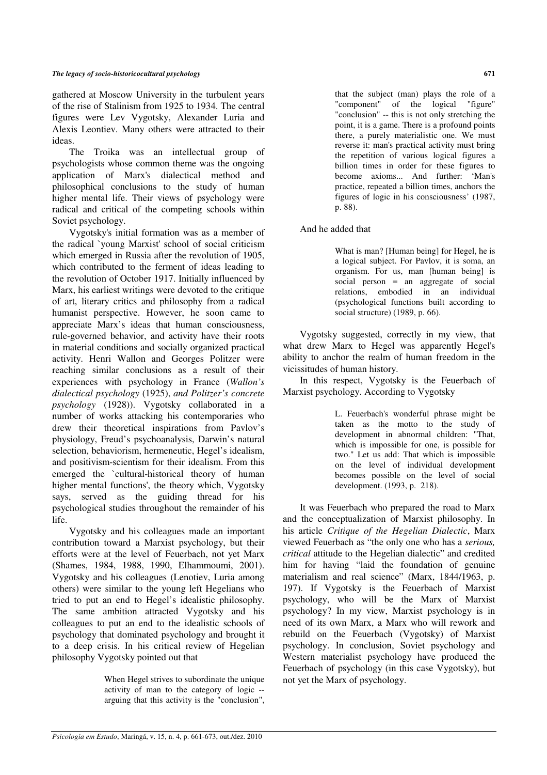gathered at Moscow University in the turbulent years of the rise of Stalinism from 1925 to 1934. The central figures were Lev Vygotsky, Alexander Luria and Alexis Leontiev. Many others were attracted to their ideas.

The Troika was an intellectual group of psychologists whose common theme was the ongoing application of Marx's dialectical method and philosophical conclusions to the study of human higher mental life. Their views of psychology were radical and critical of the competing schools within Soviet psychology.

Vygotsky's initial formation was as a member of the radical `young Marxist' school of social criticism which emerged in Russia after the revolution of 1905, which contributed to the ferment of ideas leading to the revolution of October 1917. Initially influenced by Marx, his earliest writings were devoted to the critique of art, literary critics and philosophy from a radical humanist perspective. However, he soon came to appreciate Marx's ideas that human consciousness, rule-governed behavior, and activity have their roots in material conditions and socially organized practical activity. Henri Wallon and Georges Politzer were reaching similar conclusions as a result of their experiences with psychology in France (*Wallon's dialectical psychology* (1925), *and Politzer's concrete psychology* (1928)). Vygotsky collaborated in a number of works attacking his contemporaries who drew their theoretical inspirations from Pavlov's physiology, Freud's psychoanalysis, Darwin's natural selection, behaviorism, hermeneutic, Hegel's idealism, and positivism-scientism for their idealism. From this emerged the `cultural-historical theory of human higher mental functions', the theory which, Vygotsky says, served as the guiding thread for his psychological studies throughout the remainder of his life.

Vygotsky and his colleagues made an important contribution toward a Marxist psychology, but their efforts were at the level of Feuerbach, not yet Marx (Shames, 1984, 1988, 1990, Elhammoumi, 2001). Vygotsky and his colleagues (Lenotiev, Luria among others) were similar to the young left Hegelians who tried to put an end to Hegel's idealistic philosophy. The same ambition attracted Vygotsky and his colleagues to put an end to the idealistic schools of psychology that dominated psychology and brought it to a deep crisis. In his critical review of Hegelian philosophy Vygotsky pointed out that

> When Hegel strives to subordinate the unique activity of man to the category of logic - arguing that this activity is the "conclusion",

that the subject (man) plays the role of a "component" of the logical "figure" "conclusion" -- this is not only stretching the point, it is a game. There is a profound points there, a purely materialistic one. We must reverse it: man's practical activity must bring the repetition of various logical figures a billion times in order for these figures to become axioms... And further: 'Man's practice, repeated a billion times, anchors the figures of logic in his consciousness' (1987, p. 88).

And he added that

What is man? [Human being] for Hegel, he is a logical subject. For Pavlov, it is soma, an organism. For us, man [human being] is social person = an aggregate of social relations, embodied in an individual (psychological functions built according to social structure) (1989, p. 66).

Vygotsky suggested, correctly in my view, that what drew Marx to Hegel was apparently Hegel's ability to anchor the realm of human freedom in the vicissitudes of human history.

In this respect, Vygotsky is the Feuerbach of Marxist psychology. According to Vygotsky

> L. Feuerbach's wonderful phrase might be taken as the motto to the study of development in abnormal children: "That, which is impossible for one, is possible for two." Let us add: That which is impossible on the level of individual development becomes possible on the level of social development. (1993, p. 218).

It was Feuerbach who prepared the road to Marx and the conceptualization of Marxist philosophy. In his article *Critique of the Hegelian Dialectic*, Marx viewed Feuerbach as "the only one who has a *serious, critical* attitude to the Hegelian dialectic" and credited him for having "laid the foundation of genuine materialism and real science" (Marx, 1844/1963, p. 197). If Vygotsky is the Feuerbach of Marxist psychology, who will be the Marx of Marxist psychology? In my view, Marxist psychology is in need of its own Marx, a Marx who will rework and rebuild on the Feuerbach (Vygotsky) of Marxist psychology. In conclusion, Soviet psychology and Western materialist psychology have produced the Feuerbach of psychology (in this case Vygotsky), but not yet the Marx of psychology.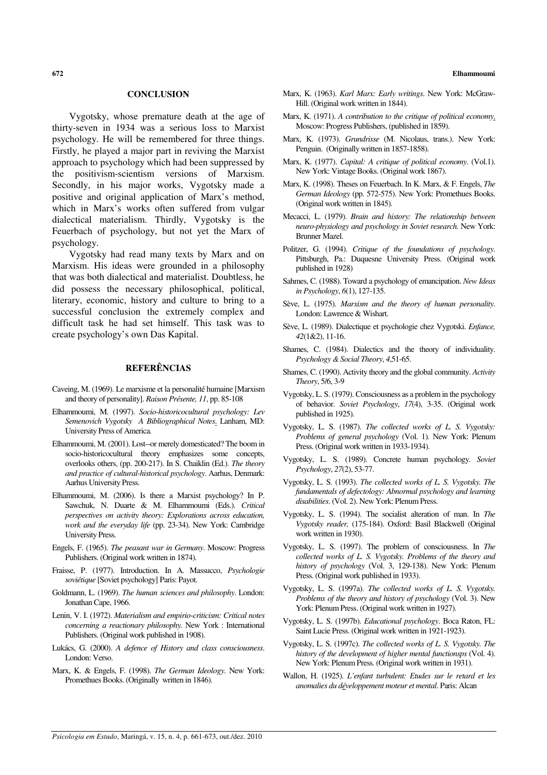#### **CONCLUSION**

Vygotsky, whose premature death at the age of thirty-seven in 1934 was a serious loss to Marxist psychology. He will be remembered for three things. Firstly, he played a major part in reviving the Marxist approach to psychology which had been suppressed by the positivism-scientism versions of Marxism. Secondly, in his major works, Vygotsky made a positive and original application of Marx's method, which in Marx's works often suffered from vulgar dialectical materialism. Thirdly, Vygotsky is the Feuerbach of psychology, but not yet the Marx of psychology.

Vygotsky had read many texts by Marx and on Marxism. His ideas were grounded in a philosophy that was both dialectical and materialist. Doubtless, he did possess the necessary philosophical, political, literary, economic, history and culture to bring to a successful conclusion the extremely complex and difficult task he had set himself. This task was to create psychology's own Das Kapital.

### **REFERÊNCIAS**

- Caveing, M. (1969). Le marxisme et la personalité humaine [Marxism and theory of personality]. *Raison Présente, 11*, pp. 85-108
- Elhammoumi, M. (1997). *Socio-historicocultural psychology: Lev Semenovich Vygotsky A Bibliographical Notes*. Lanham, MD: University Press of America*.*
- Elhammoumi, M. (2001). Lost--or merely domesticated? The boom in socio-historicocultural theory emphasizes some concepts, overlooks others, (pp. 200-217). In S. Chaiklin (Ed.). *The theory and practice of cultural-historical psychology*. Aarhus, Denmark: Aarhus University Press.
- Elhammoumi, M. (2006). Is there a Marxist psychology? In P. Sawchuk, N. Duarte & M. Elhammoumi (Eds.). *Critical perspectives on activity theory: Explorations across education, work and the everyday life* (pp. 23-34). New York: Cambridge University Press.
- Engels, F. (1965). *The peasant war in Germany*. Moscow: Progress Publishers. (Original work written in 1874).
- Fraisse, P. (1977). Introduction. In A. Massucco, *Psychologie soviétique* [Soviet psychology] Paris: Payot.
- Goldmann, L. (1969). *The human sciences and philosophy*. London: Jonathan Cape, 1966.
- Lenin, V. I. (1972). *Materialism and empirio-criticism: Critical notes concerning a reactionary philosophy.* New York : International Publishers. (Original work published in 1908).
- Lukács, G. (2000). *A defence of History and class consciousness*. London: Verso.
- Marx, K. & Engels, F. (1998). *The German Ideology*. New York: Promethues Books. (Originally written in 1846).
- Marx, K. (1963). *Karl Marx: Early writings*. New York: McGraw-Hill. (Original work written in 1844).
- Marx, K. (1971). *A contribution to the critique of political economy*. Moscow: Progress Publishers, (published in 1859).
- Marx, K. (1973). *Grundrisse* (M. Nicolaus, trans.). New York: Penguin. (Originally written in 1857-1858).
- Marx, K. (1977). *Capital: A critique of political economy*. (Vol.1). New York: Vintage Books. (Original work 1867).
- Marx, K. (1998). Theses on Feuerbach. In K. Marx, & F. Engels, *The German Ideology* (pp. 572-575). New York: Promethues Books. (Original work written in 1845).
- Mecacci, L. (1979). *Brain and history: The relationship between neuro-physiology and psychology in Soviet research.* New York: Brunner Mazel.
- Politzer, G. (1994). *Critique of the foundations of psychology*. Pittsburgh, Pa.: Duquesne University Press. (Original work published in 1928)
- Sahmes, C. (1988). Toward a psychology of emancipation. *New Ideas in Psychology*, *6*(1), 127-135.
- Sève, L. (1975). *Marxism and the theory of human personality*. London: Lawrence & Wishart.
- Sève, L. (1989). Dialectique et psychologie chez Vygotski. *Enfance, 42*(1&2), 11-16.
- Shames, C. (1984). Dialectics and the theory of individuality. *Psychology & Social Theory*, *4*,51-65.
- Shames, C. (1990). Activity theory and the global community. *Activity Theory*, 5/6, 3-9
- Vygotsky, L. S. (1979). Consciousness as a problem in the psychology of behavior. *Soviet Psychology*, *17*(4), 3-35. (Original work published in 1925).
- Vygotsky, L. S. (1987). *The collected works of L. S. Vygotsky: Problems of general psychology* (Vol. 1)*.* New York: Plenum Press. (Original work written in 1933-1934).
- Vygotsky, L. S. (1989). Concrete human psychology. *Soviet Psychology*, *27*(2), 53-77.
- Vygotsky, L. S. (1993). *The collected works of L. S. Vygotsky. The fundamentals of defectology: Abnormal psychology and learning disabilities*. (Vol. 2). New York: Plenum Press.
- Vygotsky, L. S. (1994). The socialist alteration of man. In *The Vygotsky reader,* (175-184). Oxford: Basil Blackwell (Original work written in 1930).
- Vygotsky, L. S. (1997). The problem of consciousness. In *The collected works of L. S. Vygotsky. Problems of the theory and history of psychology* (Vol. 3, 129-138). New York: Plenum Press. (Original work published in 1933).
- Vygotsky, L. S. (1997a). *The collected works of L. S. Vygotsky. Problems of the theory and history of psychology* (Vol. 3). New York: Plenum Press. (Original work written in 1927).
- Vygotsky, L. S. (1997b). *Educational psychology*. Boca Raton, FL: Saint Lucie Press. (Original work written in 1921-1923).
- Vygotsky, L. S. (1997c). *The collected works of L. S. Vygotsky. The history of the development of higher mental functionsps* (Vol. 4). New York: Plenum Press. (Original work written in 1931).
- Wallon, H. (1925). *L'enfant turbulent: Etudes sur le retard et les anomalies du développement moteur et mental*. Paris: Alcan